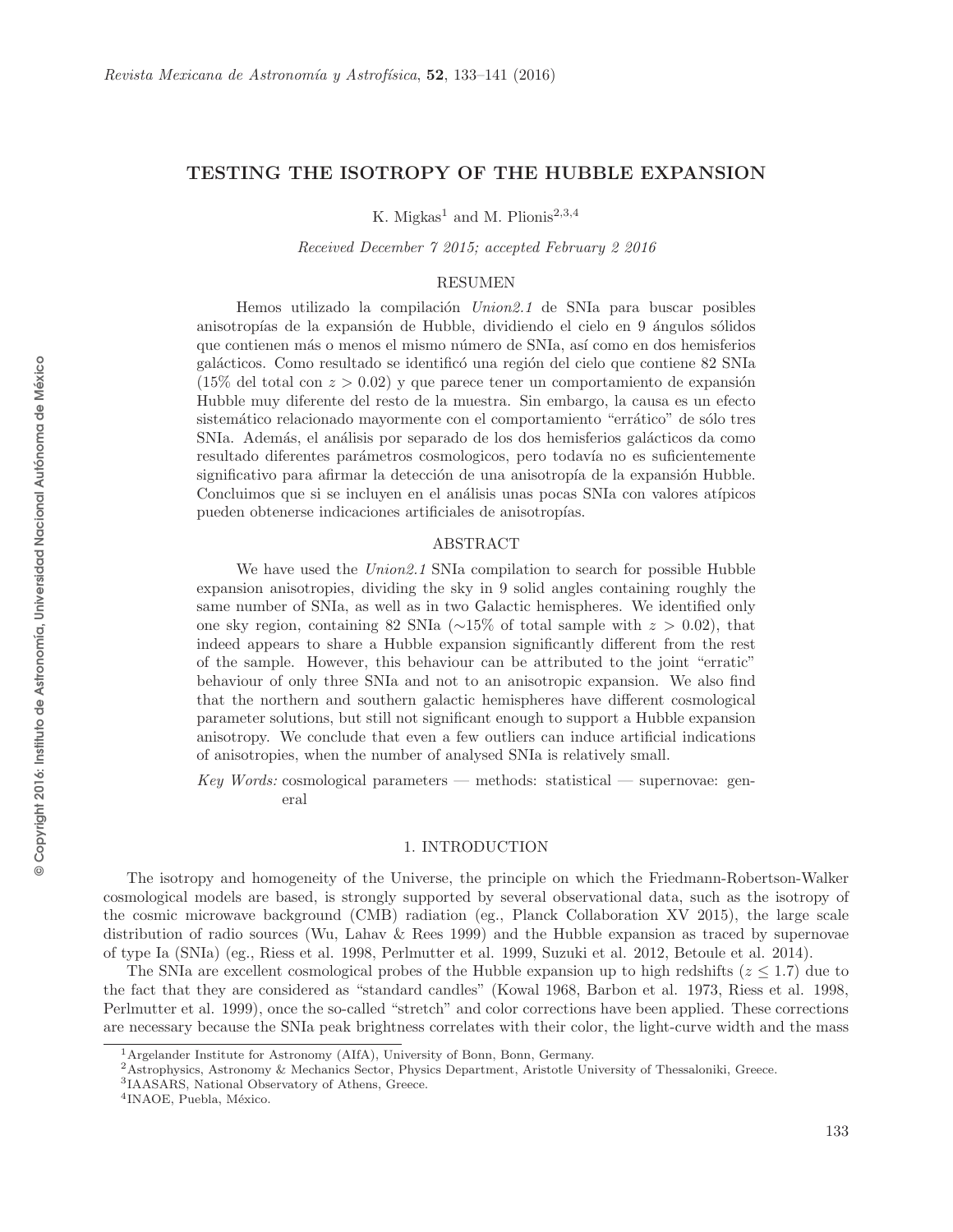# TESTING THE ISOTROPY OF THE HUBBLE EXPANSION

K. Migkas<sup>1</sup> and M. Plionis<sup>2,3,4</sup>

Received December 7 2015; accepted February 2 2016

## RESUMEN

Hemos utilizado la compilación Union2.1 de SNIa para buscar posibles anisotropías de la expansión de Hubble, dividiendo el cielo en 9 ángulos sólidos que contienen m´as o menos el mismo n´umero de SNIa, as´ı como en dos hemisferios galácticos. Como resultado se identificó una región del cielo que contiene 82 SNIa  $(15\%$  del total con  $z > 0.02$ ) y que parece tener un comportamiento de expansión Hubble muy diferente del resto de la muestra. Sin embargo, la causa es un efecto sistemático relacionado mayormente con el comportamiento "errático" de sólo tres SNIa. Además, el análisis por separado de los dos hemisferios galácticos da como resultado diferentes parámetros cosmologicos, pero todavía no es suficientemente significativo para afirmar la detección de una anisotropía de la expansión Hubble. Concluimos que si se incluyen en el análisis unas pocas SNIa con valores atípicos pueden obtenerse indicaciones artificiales de anisotropías.

### ABSTRACT

We have used the Union 2.1 SNIa compilation to search for possible Hubble expansion anisotropies, dividing the sky in 9 solid angles containing roughly the same number of SNIa, as well as in two Galactic hemispheres. We identified only one sky region, containing 82 SNIa ( $\sim$ 15% of total sample with  $z > 0.02$ ), that indeed appears to share a Hubble expansion significantly different from the rest of the sample. However, this behaviour can be attributed to the joint "erratic" behaviour of only three SNIa and not to an anisotropic expansion. We also find that the northern and southern galactic hemispheres have different cosmological parameter solutions, but still not significant enough to support a Hubble expansion anisotropy. We conclude that even a few outliers can induce artificial indications of anisotropies, when the number of analysed SNIa is relatively small.

 $Key Words: cosmological parameters — methods: statistical — supernovae: gen$ eral

## 1. INTRODUCTION

The isotropy and homogeneity of the Universe, the principle on which the Friedmann-Robertson-Walker cosmological models are based, is strongly supported by several observational data, such as the isotropy of the cosmic microwave background (CMB) radiation (eg., Planck Collaboration XV 2015), the large scale distribution of radio sources (Wu, Lahav & Rees 1999) and the Hubble expansion as traced by supernovae of type Ia (SNIa) (eg., Riess et al. 1998, Perlmutter et al. 1999, Suzuki et al. 2012, Betoule et al. 2014).

The SNIa are excellent cosmological probes of the Hubble expansion up to high redshifts  $(z \leq 1.7)$  due to the fact that they are considered as "standard candles" (Kowal 1968, Barbon et al. 1973, Riess et al. 1998, Perlmutter et al. 1999), once the so-called "stretch" and color corrections have been applied. These corrections are necessary because the SNIa peak brightness correlates with their color, the light-curve width and the mass

<sup>&</sup>lt;sup>1</sup> Argelander Institute for Astronomy (AIfA), University of Bonn, Bonn, Germany.  $2$ Astrophysics, Astronomy & Mechanics Sector, Physics Department, Aristotle University of Thessaloniki, Greece.

IAASARS, National Observatory of Athens, Greece.

<sup>&</sup>lt;sup>4</sup>INAOE, Puebla, México.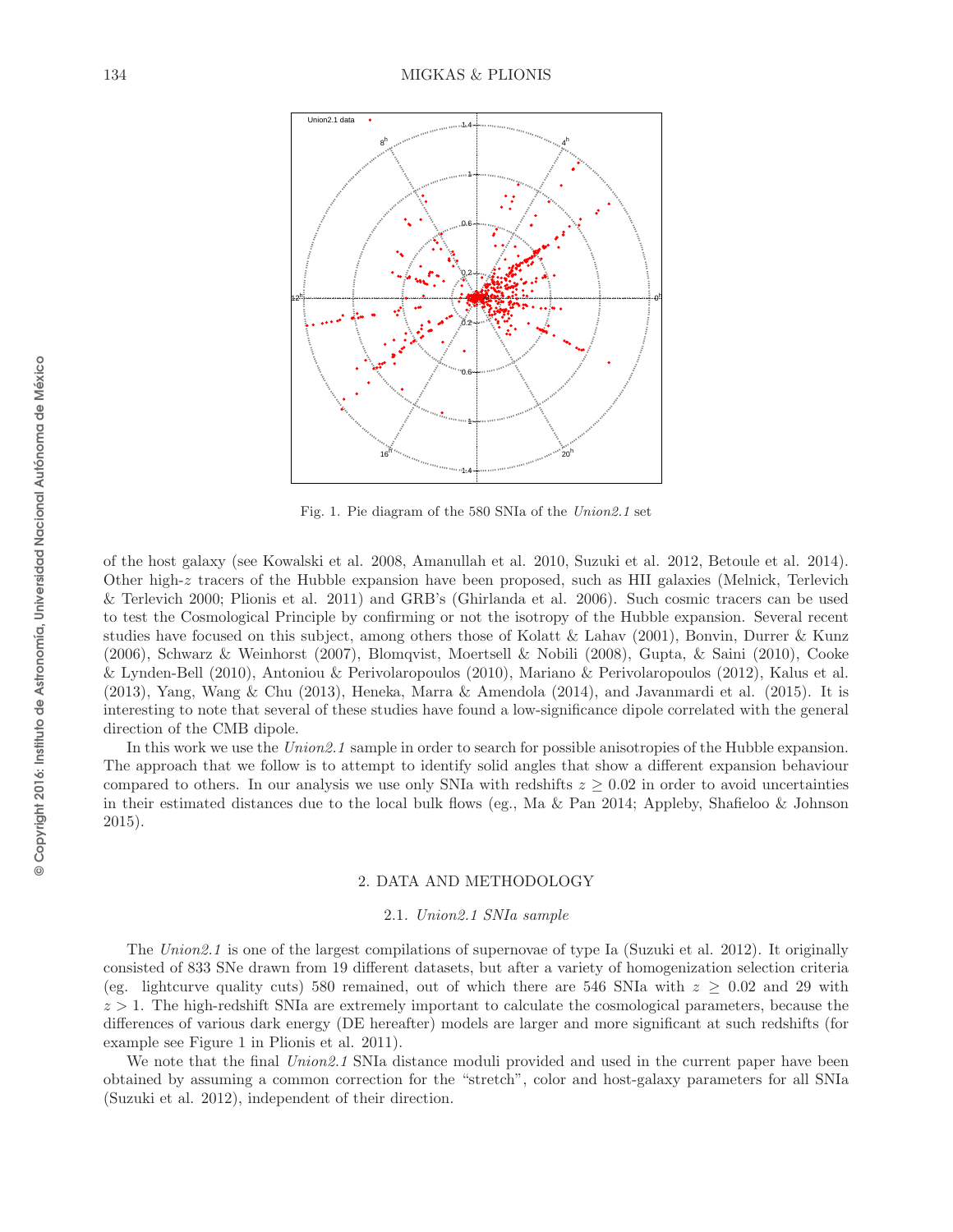

Fig. 1. Pie diagram of the 580 SNIa of the *Union2.1* set

of the host galaxy (see Kowalski et al. 2008, Amanullah et al. 2010, Suzuki et al. 2012, Betoule et al. 2014). Other high-z tracers of the Hubble expansion have been proposed, such as HII galaxies (Melnick, Terlevich & Terlevich 2000; Plionis et al. 2011) and GRB's (Ghirlanda et al. 2006). Such cosmic tracers can be used to test the Cosmological Principle by confirming or not the isotropy of the Hubble expansion. Several recent studies have focused on this subject, among others those of Kolatt & Lahav (2001), Bonvin, Durrer & Kunz (2006), Schwarz & Weinhorst (2007), Blomqvist, Moertsell & Nobili (2008), Gupta, & Saini (2010), Cooke & Lynden-Bell (2010), Antoniou & Perivolaropoulos (2010), Mariano & Perivolaropoulos (2012), Kalus et al. (2013), Yang, Wang & Chu (2013), Heneka, Marra & Amendola (2014), and Javanmardi et al. (2015). It is interesting to note that several of these studies have found a low-significance dipole correlated with the general direction of the CMB dipole.

In this work we use the Union 2.1 sample in order to search for possible anisotropies of the Hubble expansion. The approach that we follow is to attempt to identify solid angles that show a different expansion behaviour compared to others. In our analysis we use only SNIa with redshifts  $z \geq 0.02$  in order to avoid uncertainties in their estimated distances due to the local bulk flows (eg., Ma & Pan 2014; Appleby, Shafieloo & Johnson 2015).

### 2. DATA AND METHODOLOGY

### 2.1. Union2.1 SNIa sample

The Union2.1 is one of the largest compilations of supernovae of type Ia (Suzuki et al. 2012). It originally consisted of 833 SNe drawn from 19 different datasets, but after a variety of homogenization selection criteria (eg. lightcurve quality cuts) 580 remained, out of which there are 546 SNIa with  $z \geq 0.02$  and 29 with  $z > 1$ . The high-redshift SNIa are extremely important to calculate the cosmological parameters, because the differences of various dark energy (DE hereafter) models are larger and more significant at such redshifts (for example see Figure 1 in Plionis et al. 2011).

We note that the final Union2.1 SNIa distance moduli provided and used in the current paper have been obtained by assuming a common correction for the "stretch", color and host-galaxy parameters for all SNIa (Suzuki et al. 2012), independent of their direction.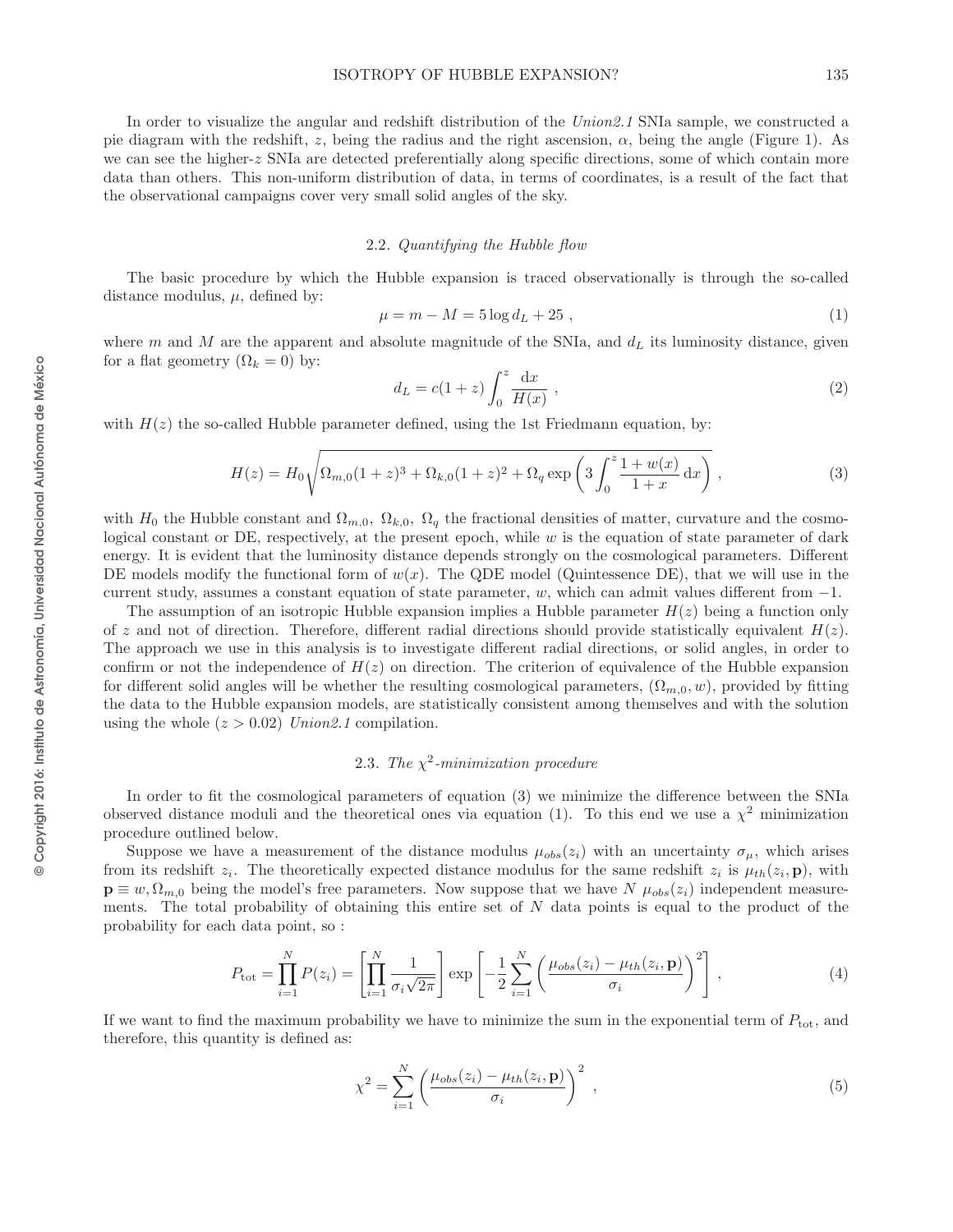In order to visualize the angular and redshift distribution of the Union 2.1 SNIa sample, we constructed a pie diagram with the redshift, z, being the radius and the right ascension,  $\alpha$ , being the angle (Figure 1). As we can see the higher-z SNIa are detected preferentially along specific directions, some of which contain more data than others. This non-uniform distribution of data, in terms of coordinates, is a result of the fact that the observational campaigns cover very small solid angles of the sky.

## 2.2. Quantifying the Hubble flow

The basic procedure by which the Hubble expansion is traced observationally is through the so-called distance modulus,  $\mu$ , defined by:

$$
\mu = m - M = 5 \log d_L + 25 , \qquad (1)
$$

where m and M are the apparent and absolute magnitude of the SNIa, and  $d<sub>L</sub>$  its luminosity distance, given for a flat geometry  $(\Omega_k = 0)$  by:

$$
d_L = c(1+z)\int_0^z \frac{\mathrm{d}x}{H(x)},\qquad(2)
$$

with  $H(z)$  the so-called Hubble parameter defined, using the 1st Friedmann equation, by:

$$
H(z) = H_0 \sqrt{\Omega_{m,0}(1+z)^3 + \Omega_{k,0}(1+z)^2 + \Omega_q \exp\left(3\int_0^z \frac{1+w(x)}{1+x} dx\right)},
$$
\n(3)

with  $H_0$  the Hubble constant and  $\Omega_{m,0}$ ,  $\Omega_{k,0}$ ,  $\Omega_q$  the fractional densities of matter, curvature and the cosmological constant or DE, respectively, at the present epoch, while  $w$  is the equation of state parameter of dark energy. It is evident that the luminosity distance depends strongly on the cosmological parameters. Different DE models modify the functional form of  $w(x)$ . The QDE model (Quintessence DE), that we will use in the current study, assumes a constant equation of state parameter, w, which can admit values different from −1.

The assumption of an isotropic Hubble expansion implies a Hubble parameter  $H(z)$  being a function only of z and not of direction. Therefore, different radial directions should provide statistically equivalent  $H(z)$ . The approach we use in this analysis is to investigate different radial directions, or solid angles, in order to confirm or not the independence of  $H(z)$  on direction. The criterion of equivalence of the Hubble expansion for different solid angles will be whether the resulting cosmological parameters,  $(\Omega_{m,0}, w)$ , provided by fitting the data to the Hubble expansion models, are statistically consistent among themselves and with the solution using the whole  $(z > 0.02)$  Union 2.1 compilation.

## 2.3. The  $\chi^2$ -minimization procedure

In order to fit the cosmological parameters of equation (3) we minimize the difference between the SNIa observed distance moduli and the theoretical ones via equation (1). To this end we use a  $\chi^2$  minimization procedure outlined below.

Suppose we have a measurement of the distance modulus  $\mu_{obs}(z_i)$  with an uncertainty  $\sigma_{\mu}$ , which arises from its redshift  $z_i$ . The theoretically expected distance modulus for the same redshift  $z_i$  is  $\mu_{th}(z_i, \mathbf{p})$ , with  $\mathbf{p} \equiv w, \Omega_{m,0}$  being the model's free parameters. Now suppose that we have  $N \mu_{obs}(z_i)$  independent measurements. The total probability of obtaining this entire set of  $N$  data points is equal to the product of the probability for each data point, so :

$$
P_{\text{tot}} = \prod_{i=1}^{N} P(z_i) = \left[ \prod_{i=1}^{N} \frac{1}{\sigma_i \sqrt{2\pi}} \right] \exp \left[ -\frac{1}{2} \sum_{i=1}^{N} \left( \frac{\mu_{obs}(z_i) - \mu_{th}(z_i, \mathbf{p})}{\sigma_i} \right)^2 \right],
$$
(4)

If we want to find the maximum probability we have to minimize the sum in the exponential term of  $P_{\text{tot}}$ , and therefore, this quantity is defined as:

$$
\chi^2 = \sum_{i=1}^N \left( \frac{\mu_{obs}(z_i) - \mu_{th}(z_i, \mathbf{p})}{\sigma_i} \right)^2 , \qquad (5)
$$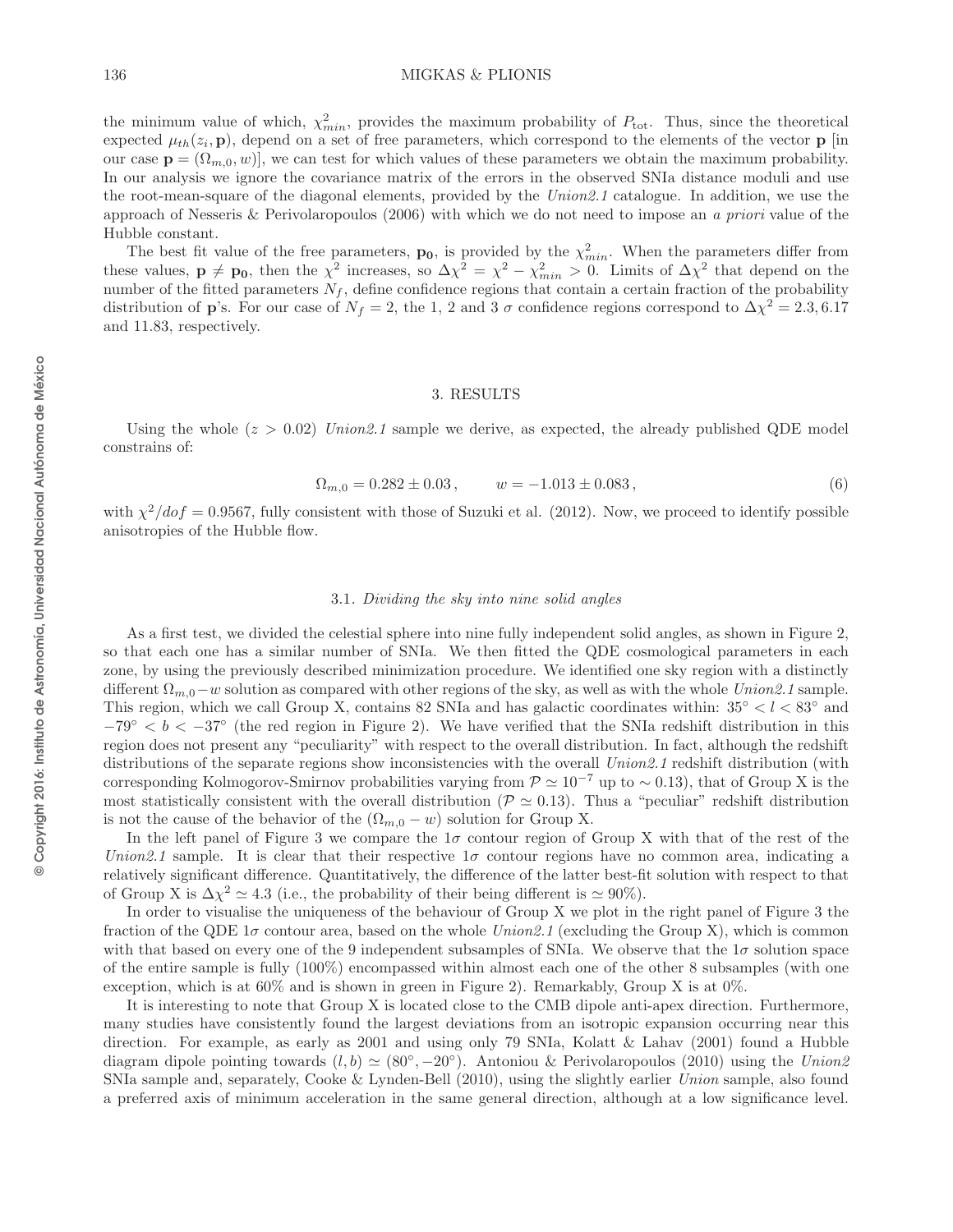## 136 MIGKAS & PLIONIS

the minimum value of which,  $\chi^2_{min}$ , provides the maximum probability of  $P_{\text{tot}}$ . Thus, since the theoretical expected  $\mu_{th}(z_i, \mathbf{p})$ , depend on a set of free parameters, which correspond to the elements of the vector  $\mathbf{p}$  [in our case  $\mathbf{p} = (\Omega_{m,0}, w)$ , we can test for which values of these parameters we obtain the maximum probability. In our analysis we ignore the covariance matrix of the errors in the observed SNIa distance moduli and use the root-mean-square of the diagonal elements, provided by the Union2.1 catalogue. In addition, we use the approach of Nesseris & Perivolaropoulos  $(2006)$  with which we do not need to impose an a priori value of the Hubble constant.

The best fit value of the free parameters,  $\mathbf{p}_0$ , is provided by the  $\chi^2_{min}$ . When the parameters differ from these values,  $\mathbf{p} \neq \mathbf{p_0}$ , then the  $\chi^2$  increases, so  $\Delta \chi^2 = \chi^2 - \chi^2_{min} > 0$ . Limits of  $\Delta \chi^2$  that depend on the number of the fitted parameters  $N_f$ , define confidence regions that contain a certain fraction of the probability distribution of **p**'s. For our case of  $N_f = 2$ , the 1, 2 and 3  $\sigma$  confidence regions correspond to  $\Delta \chi^2 = 2.3, 6.17$ and 11.83, respectively.

## 3. RESULTS

Using the whole  $(z > 0.02)$  Union 2.1 sample we derive, as expected, the already published QDE model constrains of:

$$
\Omega_{m,0} = 0.282 \pm 0.03 \,, \qquad w = -1.013 \pm 0.083 \,, \tag{6}
$$

with  $\chi^2/dof = 0.9567$ , fully consistent with those of Suzuki et al. (2012). Now, we proceed to identify possible anisotropies of the Hubble flow.

### 3.1. Dividing the sky into nine solid angles

As a first test, we divided the celestial sphere into nine fully independent solid angles, as shown in Figure 2, so that each one has a similar number of SNIa. We then fitted the QDE cosmological parameters in each zone, by using the previously described minimization procedure. We identified one sky region with a distinctly different  $\Omega_{m,0}-w$  solution as compared with other regions of the sky, as well as with the whole Union2.1 sample. This region, which we call Group X, contains 82 SNIa and has galactic coordinates within:  $35^{\circ} < l < 83^{\circ}$  and  $-79^{\circ} < b < -37^{\circ}$  (the red region in Figure 2). We have verified that the SNIa redshift distribution in this region does not present any "peculiarity" with respect to the overall distribution. In fact, although the redshift distributions of the separate regions show inconsistencies with the overall Union2.1 redshift distribution (with corresponding Kolmogorov-Smirnov probabilities varying from  $\mathcal{P} \simeq 10^{-7}$  up to ~0.13), that of Group X is the most statistically consistent with the overall distribution ( $\mathcal{P} \simeq 0.13$ ). Thus a "peculiar" redshift distribution is not the cause of the behavior of the  $(\Omega_{m,0} - w)$  solution for Group X.

In the left panel of Figure 3 we compare the  $1\sigma$  contour region of Group X with that of the rest of the Union2.1 sample. It is clear that their respective  $1\sigma$  contour regions have no common area, indicating a relatively significant difference. Quantitatively, the difference of the latter best-fit solution with respect to that of Group X is  $\Delta \chi^2 \simeq 4.3$  (i.e., the probability of their being different is  $\simeq 90\%$ ).

In order to visualise the uniqueness of the behaviour of Group X we plot in the right panel of Figure 3 the fraction of the QDE  $1\sigma$  contour area, based on the whole  $Union2.1$  (excluding the Group X), which is common with that based on every one of the 9 independent subsamples of SNIa. We observe that the  $1\sigma$  solution space of the entire sample is fully (100%) encompassed within almost each one of the other 8 subsamples (with one exception, which is at  $60\%$  and is shown in green in Figure 2). Remarkably, Group X is at  $0\%$ .

It is interesting to note that Group X is located close to the CMB dipole anti-apex direction. Furthermore, many studies have consistently found the largest deviations from an isotropic expansion occurring near this direction. For example, as early as 2001 and using only 79 SNIa, Kolatt & Lahav (2001) found a Hubble diagram dipole pointing towards  $(l, b) \simeq (80^{\circ}, -20^{\circ})$ . Antoniou & Perivolaropoulos (2010) using the Union2 SNIa sample and, separately, Cooke & Lynden-Bell (2010), using the slightly earlier Union sample, also found a preferred axis of minimum acceleration in the same general direction, although at a low significance level.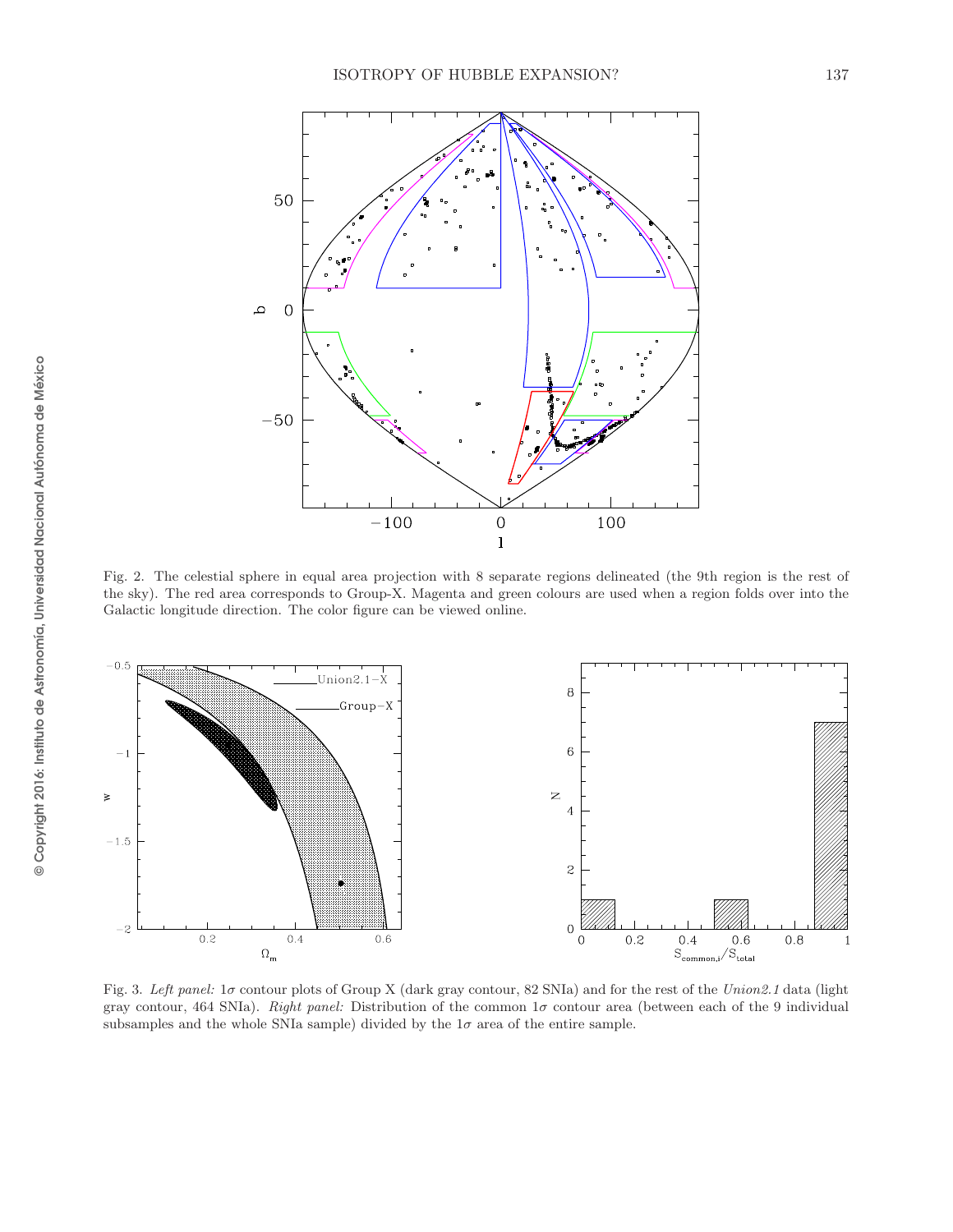

Fig. 2. The celestial sphere in equal area projection with 8 separate regions delineated (the 9th region is the rest of the sky). The red area corresponds to Group-X. Magenta and green colours are used when a region folds over into the Galactic longitude direction. The color figure can be viewed online.



Fig. 3. *Left panel:* 1σ contour plots of Group X (dark gray contour, 82 SNIa) and for the rest of the *Union2.1* data (light gray contour, 464 SNIa). *Right panel:* Distribution of the common  $1\sigma$  contour area (between each of the 9 individual subsamples and the whole SNIa sample) divided by the  $1\sigma$  area of the entire sample.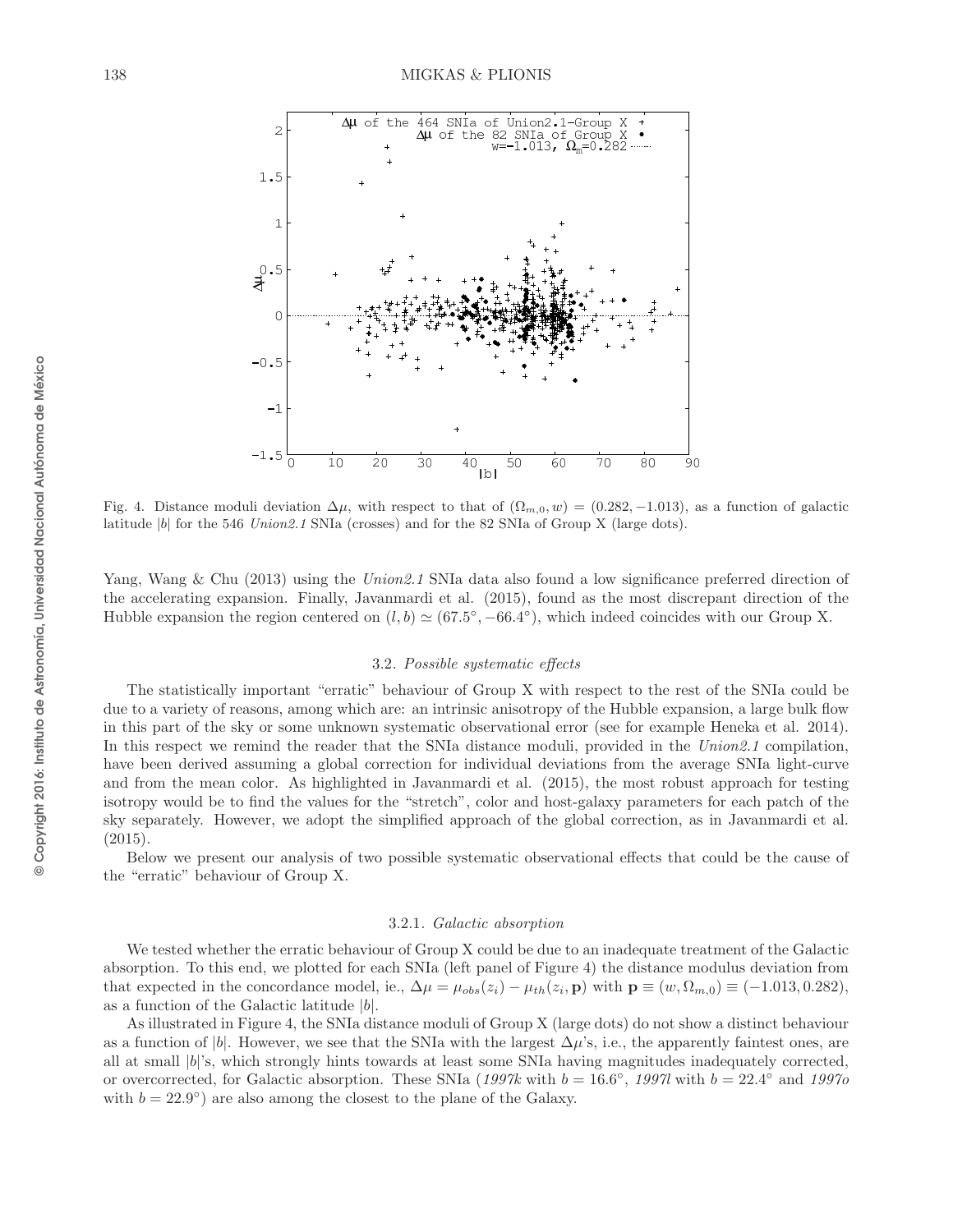

Fig. 4. Distance moduli deviation  $\Delta\mu$ , with respect to that of  $(\Omega_{m,0}, w) = (0.282, -1.013)$ , as a function of galactic latitude |b| for the 546 *Union2.1* SNIa (crosses) and for the 82 SNIa of Group X (large dots).

Yang, Wang & Chu (2013) using the Union 2.1 SNIa data also found a low significance preferred direction of the accelerating expansion. Finally, Javanmardi et al. (2015), found as the most discrepant direction of the Hubble expansion the region centered on  $(l, b) \simeq (67.5^{\circ}, -66.4^{\circ})$ , which indeed coincides with our Group X.

### 3.2. Possible systematic effects

The statistically important "erratic" behaviour of Group X with respect to the rest of the SNIa could be due to a variety of reasons, among which are: an intrinsic anisotropy of the Hubble expansion, a large bulk flow in this part of the sky or some unknown systematic observational error (see for example Heneka et al. 2014). In this respect we remind the reader that the SNIa distance moduli, provided in the Union 2.1 compilation, have been derived assuming a global correction for individual deviations from the average SNIa light-curve and from the mean color. As highlighted in Javanmardi et al. (2015), the most robust approach for testing isotropy would be to find the values for the "stretch", color and host-galaxy parameters for each patch of the sky separately. However, we adopt the simplified approach of the global correction, as in Javanmardi et al.  $(2015).$ 

Below we present our analysis of two possible systematic observational effects that could be the cause of the "erratic" behaviour of Group X.

### 3.2.1. Galactic absorption

We tested whether the erratic behaviour of Group X could be due to an inadequate treatment of the Galactic absorption. To this end, we plotted for each SNIa (left panel of Figure 4) the distance modulus deviation from that expected in the concordance model, ie.,  $\Delta \mu = \mu_{obs}(z_i) - \mu_{th}(z_i, \mathbf{p})$  with  $\mathbf{p} \equiv (w, \Omega_{m,0}) \equiv (-1.013, 0.282)$ , as a function of the Galactic latitude  $|b|$ .

As illustrated in Figure 4, the SNIa distance moduli of Group X (large dots) do not show a distinct behaviour as a function of |b|. However, we see that the SNIa with the largest  $\Delta \mu$ 's, i.e., the apparently faintest ones, are all at small  $|b|$ 's, which strongly hints towards at least some SNIa having magnitudes inadequately corrected, or overcorrected, for Galactic absorption. These SNIa (1997k with  $b = 16.6^{\circ}$ , 1997l with  $b = 22.4^{\circ}$  and 1997o with  $b = 22.9^{\circ}$  are also among the closest to the plane of the Galaxy.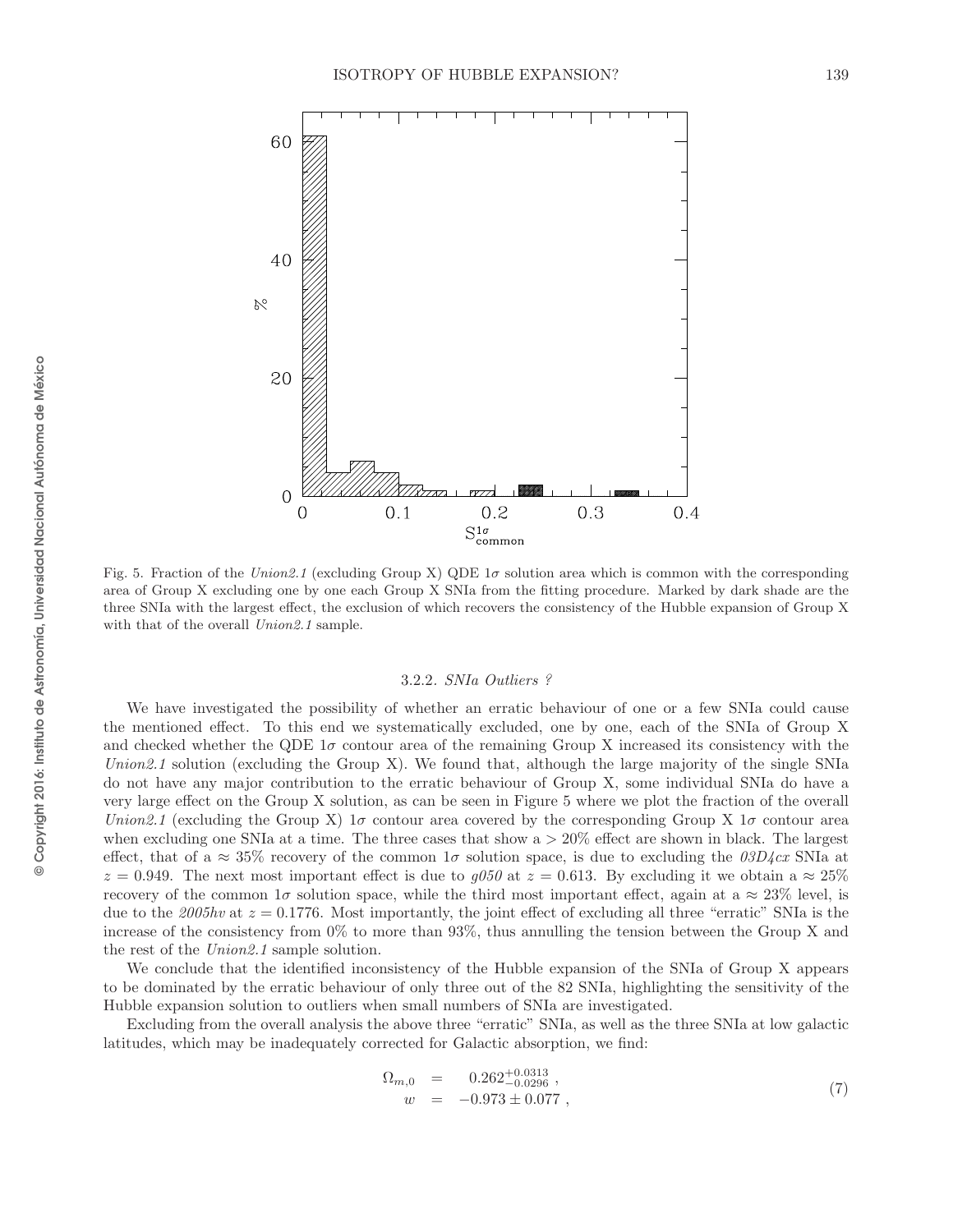

Fig. 5. Fraction of the *Union2.1* (excluding Group X) QDE  $1\sigma$  solution area which is common with the corresponding area of Group X excluding one by one each Group X SNIa from the fitting procedure. Marked by dark shade are the three SNIa with the largest effect, the exclusion of which recovers the consistency of the Hubble expansion of Group X with that of the overall *Union2.1* sample.

#### 3.2.2. SNIa Outliers ?

We have investigated the possibility of whether an erratic behaviour of one or a few SNIa could cause the mentioned effect. To this end we systematically excluded, one by one, each of the SNIa of Group X and checked whether the QDE  $1\sigma$  contour area of the remaining Group X increased its consistency with the Union2.1 solution (excluding the Group X). We found that, although the large majority of the single SNIa do not have any major contribution to the erratic behaviour of Group X, some individual SNIa do have a very large effect on the Group X solution, as can be seen in Figure 5 where we plot the fraction of the overall Union2.1 (excluding the Group X) 1 $\sigma$  contour area covered by the corresponding Group X 1 $\sigma$  contour area when excluding one SNIa at a time. The three cases that show a > 20% effect are shown in black. The largest effect, that of a  $\approx 35\%$  recovery of the common 1 $\sigma$  solution space, is due to excluding the  $03D4cx$  SNIa at  $z = 0.949$ . The next most important effect is due to  $g050$  at  $z = 0.613$ . By excluding it we obtain a  $\approx 25\%$ recovery of the common  $1\sigma$  solution space, while the third most important effect, again at a  $\approx 23\%$  level, is due to the 2005hv at  $z = 0.1776$ . Most importantly, the joint effect of excluding all three "erratic" SNIa is the increase of the consistency from 0% to more than 93%, thus annulling the tension between the Group X and the rest of the Union2.1 sample solution.

We conclude that the identified inconsistency of the Hubble expansion of the SNIa of Group X appears to be dominated by the erratic behaviour of only three out of the 82 SNIa, highlighting the sensitivity of the Hubble expansion solution to outliers when small numbers of SNIa are investigated.

Excluding from the overall analysis the above three "erratic" SNIa, as well as the three SNIa at low galactic latitudes, which may be inadequately corrected for Galactic absorption, we find:

$$
\begin{array}{rcl}\n\Omega_{m,0} & = & 0.262^{+0.0313}_{-0.0296} \\
w & = & -0.973 \pm 0.077 \n\end{array} \tag{7}
$$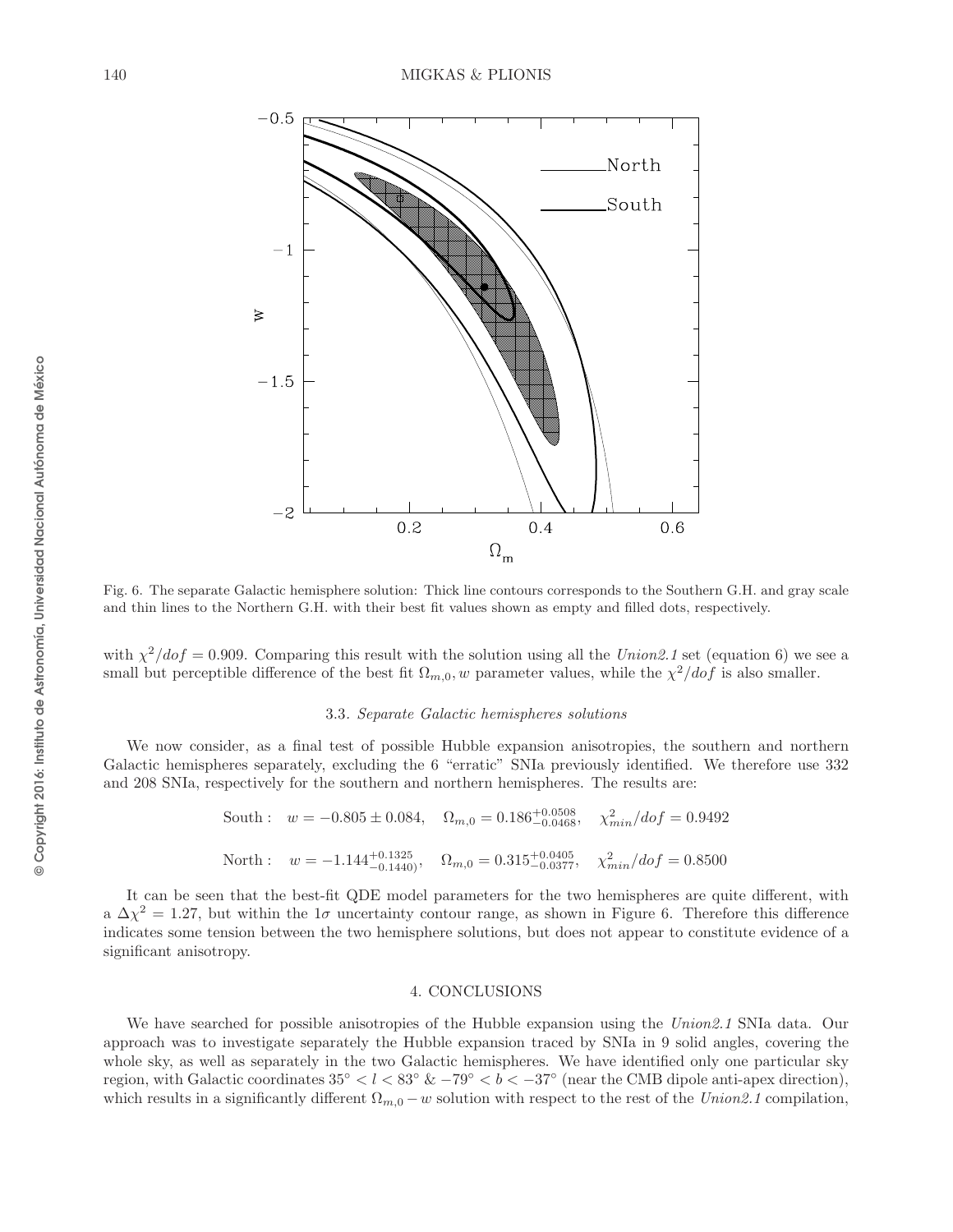

Fig. 6. The separate Galactic hemisphere solution: Thick line contours corresponds to the Southern G.H. and gray scale and thin lines to the Northern G.H. with their best fit values shown as empty and filled dots, respectively.

with  $\chi^2/dof = 0.909$ . Comparing this result with the solution using all the Union 2.1 set (equation 6) we see a small but perceptible difference of the best fit  $\Omega_{m,0}$ , w parameter values, while the  $\chi^2/dof$  is also smaller.

#### 3.3. Separate Galactic hemispheres solutions

We now consider, as a final test of possible Hubble expansion anisotropies, the southern and northern Galactic hemispheres separately, excluding the 6 "erratic" SNIa previously identified. We therefore use 332 and 208 SNIa, respectively for the southern and northern hemispheres. The results are:

South: 
$$
w = -0.805 \pm 0.084
$$
,  $\Omega_{m,0} = 0.186^{+0.0508}_{-0.0468}$ ,  $\chi^2_{min}/dof = 0.9492$ 

\nNorth:  $w = -1.144^{+0.1325}_{-0.1440}$ ,  $\Omega_{m,0} = 0.315^{+0.0405}_{-0.0377}$ ,  $\chi^2_{min}/dof = 0.8500$ 

It can be seen that the best-fit QDE model parameters for the two hemispheres are quite different, with a  $\Delta \chi^2 = 1.27$ , but within the 1 $\sigma$  uncertainty contour range, as shown in Figure 6. Therefore this difference indicates some tension between the two hemisphere solutions, but does not appear to constitute evidence of a significant anisotropy.

## 4. CONCLUSIONS

We have searched for possible anisotropies of the Hubble expansion using the Union 2.1 SNIa data. Our approach was to investigate separately the Hubble expansion traced by SNIa in 9 solid angles, covering the whole sky, as well as separately in the two Galactic hemispheres. We have identified only one particular sky region, with Galactic coordinates  $35^{\circ} < l < 83^{\circ}$  &  $-79^{\circ} < b < -37^{\circ}$  (near the CMB dipole anti-apex direction), which results in a significantly different  $\Omega_{m,0} - w$  solution with respect to the rest of the Union2.1 compilation,